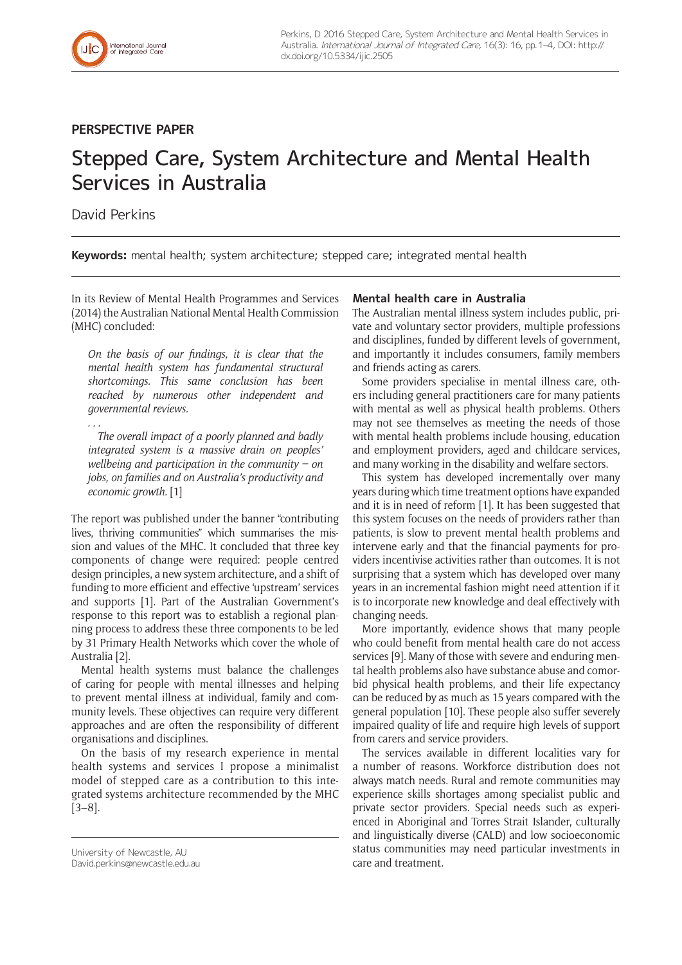

# **PERSPECTIVE PAPER**

# Stepped Care, System Architecture and Mental Health Services in Australia

# David Perkins

**Keywords:** mental health; system architecture; stepped care; integrated mental health

In its Review of Mental Health Programmes and Services (2014) the Australian National Mental Health Commission (MHC) concluded:

*On the basis of our findings, it is clear that the mental health system has fundamental structural shortcomings. This same conclusion has been reached by numerous other independent and governmental reviews.*

*. . . The overall impact of a poorly planned and badly integrated system is a massive drain on peoples' wellbeing and participation in the community – on jobs, on families and on Australia's productivity and economic growth.* [1]

The report was published under the banner "contributing lives, thriving communities" which summarises the mission and values of the MHC. It concluded that three key components of change were required: people centred design principles, a new system architecture, and a shift of funding to more efficient and effective 'upstream' services and supports [1]. Part of the Australian Government's response to this report was to establish a regional planning process to address these three components to be led by 31 Primary Health Networks which cover the whole of Australia [2].

Mental health systems must balance the challenges of caring for people with mental illnesses and helping to prevent mental illness at individual, family and community levels. These objectives can require very different approaches and are often the responsibility of different organisations and disciplines.

On the basis of my research experience in mental health systems and services I propose a minimalist model of stepped care as a contribution to this integrated systems architecture recommended by the MHC [3–8].

## **Mental health care in Australia**

The Australian mental illness system includes public, private and voluntary sector providers, multiple professions and disciplines, funded by different levels of government, and importantly it includes consumers, family members and friends acting as carers.

Some providers specialise in mental illness care, others including general practitioners care for many patients with mental as well as physical health problems. Others may not see themselves as meeting the needs of those with mental health problems include housing, education and employment providers, aged and childcare services, and many working in the disability and welfare sectors.

This system has developed incrementally over many years during which time treatment options have expanded and it is in need of reform [1]. It has been suggested that this system focuses on the needs of providers rather than patients, is slow to prevent mental health problems and intervene early and that the financial payments for providers incentivise activities rather than outcomes. It is not surprising that a system which has developed over many years in an incremental fashion might need attention if it is to incorporate new knowledge and deal effectively with changing needs.

More importantly, evidence shows that many people who could benefit from mental health care do not access services [9]. Many of those with severe and enduring mental health problems also have substance abuse and comorbid physical health problems, and their life expectancy can be reduced by as much as 15 years compared with the general population [10]. These people also suffer severely impaired quality of life and require high levels of support from carers and service providers.

The services available in different localities vary for a number of reasons. Workforce distribution does not always match needs. Rural and remote communities may experience skills shortages among specialist public and private sector providers. Special needs such as experienced in Aboriginal and Torres Strait Islander, culturally and linguistically diverse (CALD) and low socioeconomic status communities may need particular investments in care and treatment.

University of Newcastle, AU [David.perkins@newcastle.edu.au](mailto:David.perkins@newcastle.edu.au)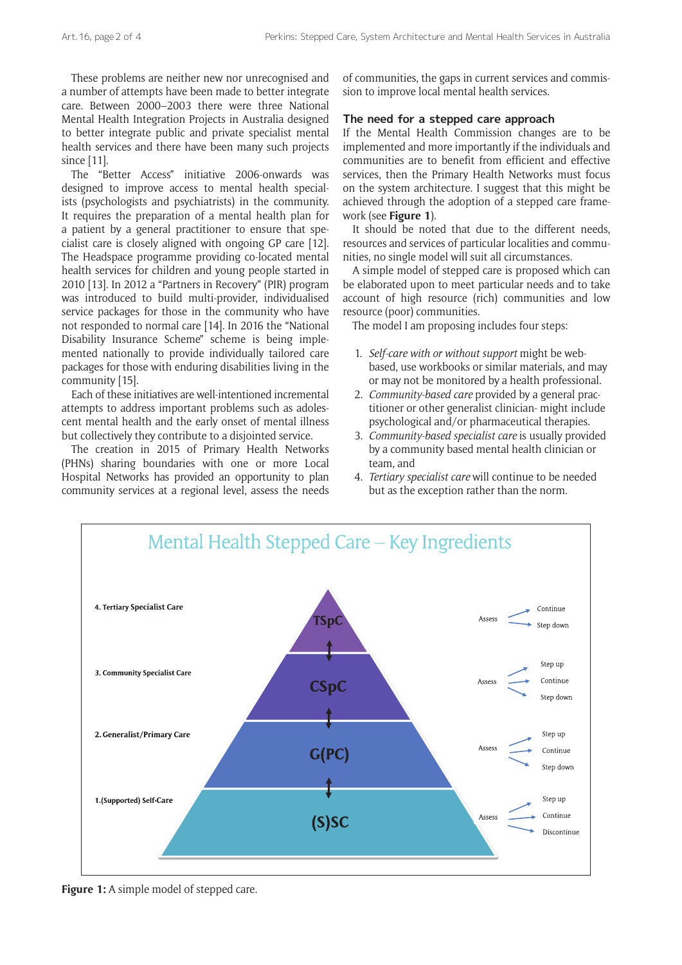These problems are neither new nor unrecognised and a number of attempts have been made to better integrate care. Between 2000–2003 there were three National Mental Health Integration Projects in Australia designed to better integrate public and private specialist mental health services and there have been many such projects since [11].

The "Better Access" initiative 2006-onwards was designed to improve access to mental health specialists (psychologists and psychiatrists) in the community. It requires the preparation of a mental health plan for a patient by a general practitioner to ensure that specialist care is closely aligned with ongoing GP care [12]. The Headspace programme providing co-located mental health services for children and young people started in 2010 [13]. In 2012 a "Partners in Recovery" (PIR) program was introduced to build multi-provider, individualised service packages for those in the community who have not responded to normal care [14]. In 2016 the "National Disability Insurance Scheme" scheme is being implemented nationally to provide individually tailored care packages for those with enduring disabilities living in the community [15].

Each of these initiatives are well-intentioned incremental attempts to address important problems such as adolescent mental health and the early onset of mental illness but collectively they contribute to a disjointed service.

The creation in 2015 of Primary Health Networks (PHNs) sharing boundaries with one or more Local Hospital Networks has provided an opportunity to plan community services at a regional level, assess the needs of communities, the gaps in current services and commission to improve local mental health services.

#### **The need for a stepped care approach**

If the Mental Health Commission changes are to be implemented and more importantly if the individuals and communities are to benefit from efficient and effective services, then the Primary Health Networks must focus on the system architecture. I suggest that this might be achieved through the adoption of a stepped care framework (see **Figure 1**).

It should be noted that due to the different needs, resources and services of particular localities and communities, no single model will suit all circumstances.

A simple model of stepped care is proposed which can be elaborated upon to meet particular needs and to take account of high resource (rich) communities and low resource (poor) communities.

The model I am proposing includes four steps:

- 1. *Self-care with or without support* might be webbased, use workbooks or similar materials, and may or may not be monitored by a health professional.
- 2. *Community-based care* provided by a general practitioner or other generalist clinician- might include psychological and/or pharmaceutical therapies.
- 3. *Community-based specialist care* is usually provided by a community based mental health clinician or team, and
- 4. *Tertiary specialist care* will continue to be needed but as the exception rather than the norm.



Figure 1: A simple model of stepped care.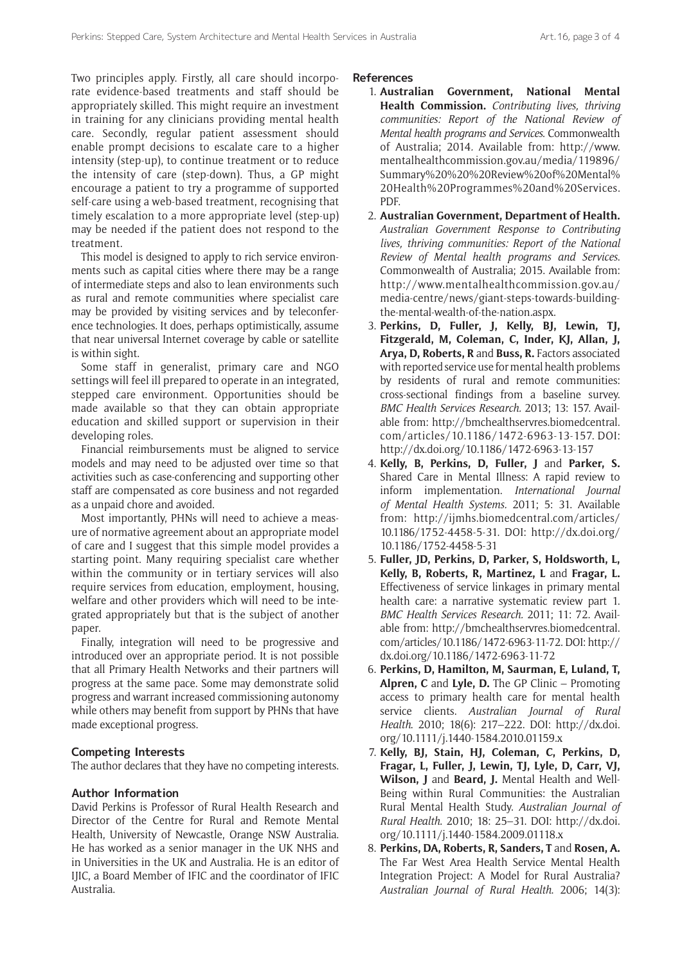Two principles apply. Firstly, all care should incorporate evidence-based treatments and staff should be appropriately skilled. This might require an investment in training for any clinicians providing mental health care. Secondly, regular patient assessment should enable prompt decisions to escalate care to a higher intensity (step-up), to continue treatment or to reduce the intensity of care (step-down). Thus, a GP might encourage a patient to try a programme of supported self-care using a web-based treatment, recognising that timely escalation to a more appropriate level (step-up) may be needed if the patient does not respond to the treatment.

This model is designed to apply to rich service environments such as capital cities where there may be a range of intermediate steps and also to lean environments such as rural and remote communities where specialist care may be provided by visiting services and by teleconference technologies. It does, perhaps optimistically, assume that near universal Internet coverage by cable or satellite is within sight.

Some staff in generalist, primary care and NGO settings will feel ill prepared to operate in an integrated, stepped care environment. Opportunities should be made available so that they can obtain appropriate education and skilled support or supervision in their developing roles.

Financial reimbursements must be aligned to service models and may need to be adjusted over time so that activities such as case-conferencing and supporting other staff are compensated as core business and not regarded as a unpaid chore and avoided.

Most importantly, PHNs will need to achieve a measure of normative agreement about an appropriate model of care and I suggest that this simple model provides a starting point. Many requiring specialist care whether within the community or in tertiary services will also require services from education, employment, housing, welfare and other providers which will need to be integrated appropriately but that is the subject of another paper.

Finally, integration will need to be progressive and introduced over an appropriate period. It is not possible that all Primary Health Networks and their partners will progress at the same pace. Some may demonstrate solid progress and warrant increased commissioning autonomy while others may benefit from support by PHNs that have made exceptional progress.

## **Competing Interests**

The author declares that they have no competing interests.

## **Author Information**

David Perkins is Professor of Rural Health Research and Director of the Centre for Rural and Remote Mental Health, University of Newcastle, Orange NSW Australia. He has worked as a senior manager in the UK NHS and in Universities in the UK and Australia. He is an editor of IJIC, a Board Member of IFIC and the coordinator of IFIC Australia.

#### **References**

- 1. **Australian Government, National Mental Health Commission.** *Contributing lives, thriving communities: Report of the National Review of Mental health programs and Services*. Commonwealth of Australia; 2014*.* Available from: [http://www.](http://www.mentalhealthcommission.gov.au/media/119896/Summary%20%20%20Review%20of%20Mental%20Health%20Programmes%20and%20Services.PDF) [mentalhealthcommission.gov.au/media/119896/](http://www.mentalhealthcommission.gov.au/media/119896/Summary%20%20%20Review%20of%20Mental%20Health%20Programmes%20and%20Services.PDF) [Summary%20%20%20Review%20of%20Mental%](http://www.mentalhealthcommission.gov.au/media/119896/Summary%20%20%20Review%20of%20Mental%20Health%20Programmes%20and%20Services.PDF) [20Health%20Programmes%20and%20Services.](http://www.mentalhealthcommission.gov.au/media/119896/Summary%20%20%20Review%20of%20Mental%20Health%20Programmes%20and%20Services.PDF) [PDF.](http://www.mentalhealthcommission.gov.au/media/119896/Summary%20%20%20Review%20of%20Mental%20Health%20Programmes%20and%20Services.PDF)
- 2. **Australian Government, Department of Health.** *Australian Government Response to Contributing lives, thriving communities: Report of the National Review of Mental health programs and Services*. Commonwealth of Australia; 2015. Available from: [http://www.mentalhealthcommission.gov.au/](http://www.mentalhealthcommission.gov.au/media-centre/news/giant-steps-towards-building-the-mental-wealth-of-the-nation.aspx) [media-centre/news/giant-steps-towards-building](http://www.mentalhealthcommission.gov.au/media-centre/news/giant-steps-towards-building-the-mental-wealth-of-the-nation.aspx)[the-mental-wealth-of-the-nation.aspx](http://www.mentalhealthcommission.gov.au/media-centre/news/giant-steps-towards-building-the-mental-wealth-of-the-nation.aspx).
- 3. **Perkins, D, Fuller, J, Kelly, BJ, Lewin, TJ, Fitzgerald, M, Coleman, C, Inder, KJ, Allan, J, Arya, D, Roberts, R** and **Buss, R.** Factors associated with reported service use for mental health problems by residents of rural and remote communities: cross-sectional findings from a baseline survey. *BMC Health Services Research.* 2013; 13: 157. Available from: [http://bmchealthservres.biomedcentral.](http://bmchealthservres.biomedcentral.com/articles/10.1186/1472-6963-13-157) [com/articles/10.1186/1472-6963-13-157.](http://bmchealthservres.biomedcentral.com/articles/10.1186/1472-6963-13-157) DOI: <http://dx.doi.org/10.1186/1472-6963-13-157>
- 4. **Kelly, B, Perkins, D, Fuller, J** and **Parker, S.** Shared Care in Mental Illness: A rapid review to inform implementation. *International Journal of Mental Health Systems.* 2011; 5: 31. Available from: [http://ijmhs.biomedcentral.com/articles/](http://ijmhs.biomedcentral.com/articles/10.1186/1752-4458-5-31) [10.1186/1752-4458-5-31](http://ijmhs.biomedcentral.com/articles/10.1186/1752-4458-5-31). DOI: [http://dx.doi.org/](http://dx.doi.org/10.1186/1752-4458-5-31) [10.1186/1752-4458-5-31](http://dx.doi.org/10.1186/1752-4458-5-31)
- 5. **Fuller, JD, Perkins, D, Parker, S, Holdsworth, L, Kelly, B, Roberts, R, Martinez, L** and **Fragar, L.** Effectiveness of service linkages in primary mental health care: a narrative systematic review part 1. *BMC Health Services Research.* 2011; 11: 72. Available from: [http://bmchealthservres.biomedcentral.](http://bmchealthservres.biomedcentral.com/articles/10.1186/1472-6963-11-72) [com/articles/10.1186/1472-6963-11-72](http://bmchealthservres.biomedcentral.com/articles/10.1186/1472-6963-11-72). DOI: [http://](http://dx.doi.org/10.1186/1472-6963-11-72) [dx.doi.org/10.1186/1472-6963-11-72](http://dx.doi.org/10.1186/1472-6963-11-72)
- 6. **Perkins, D, Hamilton, M, Saurman, E, Luland, T, Alpren, C** and **Lyle, D.** The GP Clinic – Promoting access to primary health care for mental health service clients. *Australian Journal of Rural Health*. 2010; 18(6): 217–222. DOI: [http://dx.doi.](http://dx.doi.org/10.1111/j.1440-1584.2010.01159.x) [org/10.1111/j.1440-1584.2010.01159.x](http://dx.doi.org/10.1111/j.1440-1584.2010.01159.x)
- 7. **Kelly, BJ, Stain, HJ, Coleman, C, Perkins, D, Fragar, L, Fuller, J, Lewin, TJ, Lyle, D, Carr, VJ, Wilson, J** and **Beard, J.** Mental Health and Well-Being within Rural Communities: the Australian Rural Mental Health Study. *Australian Journal of Rural Health*. 2010; 18: 25–31. DOI: [http://dx.doi.](http://dx.doi.org/10.1111/j.1440-1584.2009.01118.x) [org/10.1111/j.1440-1584.2009.01118.x](http://dx.doi.org/10.1111/j.1440-1584.2009.01118.x)
- 8. **Perkins, DA, Roberts, R, Sanders, T** and **Rosen, A.** The Far West Area Health Service Mental Health Integration Project: A Model for Rural Australia? *Australian Journal of Rural Health*. 2006; 14(3):